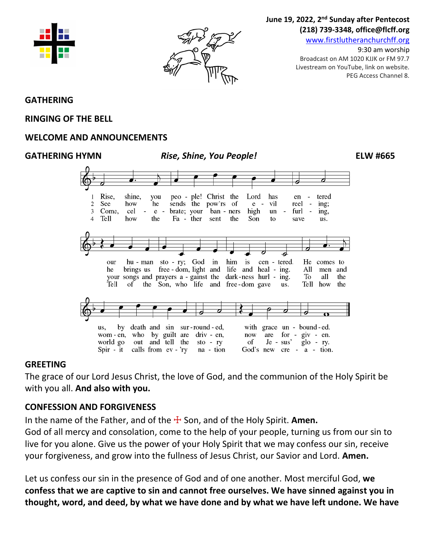



## June 19, 2022, 2<sup>nd</sup> Sunday after Pentecost **(218) 739-3348, office@flcff.org**

[www.firstlutheranchurchff.org](http://www.firstlutheranchurchff.org/)

9:30 am worship Broadcast on AM 1020 KJJK or FM 97.7 Livestream on YouTube, link on website. PEG Access Channel 8.

## **GATHERING**

#### **RINGING OF THE BELL**

## **WELCOME AND ANNOUNCEMENTS**

#### **GATHERING HYMN** *Rise, Shine, You People!* **ELW #665**



#### **GREETING**

The grace of our Lord Jesus Christ, the love of God, and the communion of the Holy Spirit be with you all. **And also with you.**

## **CONFESSION AND FORGIVENESS**

In the name of the Father, and of the  $\pm$  Son, and of the Holy Spirit. **Amen.** 

God of all mercy and consolation, come to the help of your people, turning us from our sin to live for you alone. Give us the power of your Holy Spirit that we may confess our sin, receive your forgiveness, and grow into the fullness of Jesus Christ, our Savior and Lord. **Amen.**

Let us confess our sin in the presence of God and of one another. Most merciful God, **we confess that we are captive to sin and cannot free ourselves. We have sinned against you in thought, word, and deed, by what we have done and by what we have left undone. We have**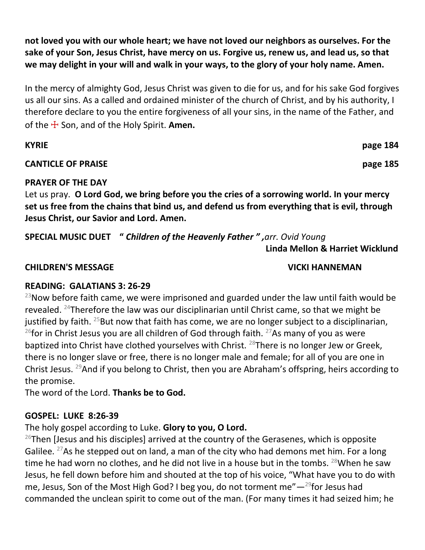**not loved you with our whole heart; we have not loved our neighbors as ourselves. For the sake of your Son, Jesus Christ, have mercy on us. Forgive us, renew us, and lead us, so that we may delight in your will and walk in your ways, to the glory of your holy name. Amen.**

In the mercy of almighty God, Jesus Christ was given to die for us, and for his sake God forgives us all our sins. As a called and ordained minister of the church of Christ, and by his authority, I therefore declare to you the entire forgiveness of all your sins, in the name of the Father, and of the ☩ Son, and of the Holy Spirit. **Amen.**

| <b>KYRIE</b>                                                                                  | page 184 |
|-----------------------------------------------------------------------------------------------|----------|
| <b>CANTICLE OF PRAISE</b>                                                                     | page 185 |
| <b>PRAYER OF THE DAY</b>                                                                      |          |
| Let us pray. O Lord God, we bring before you the cries of a sorrowing world. In your mercy    |          |
| set us free from the chains that bind us, and defend us from everything that is evil, through |          |
| Jesus Christ, our Savior and Lord. Amen.                                                      |          |

**SPECIAL MUSIC DUET "** *Children of the Heavenly Father " ,arr. Ovid Young*

**Linda Mellon & Harriet Wicklund**

## **CHILDREN'S MESSAGE VICKI HANNEMAN**

## **READING: GALATIANS 3: 26-29**

 $^{23}$ Now before faith came, we were imprisoned and guarded under the law until faith would be revealed. <sup>24</sup>Therefore the law was our disciplinarian until Christ came, so that we might be justified by faith.  $25$ But now that faith has come, we are no longer subject to a disciplinarian, <sup>26</sup>for in Christ Jesus you are all children of God through faith. <sup>27</sup>As many of you as were baptized into Christ have clothed yourselves with Christ. <sup>28</sup>There is no longer Jew or Greek, there is no longer slave or free, there is no longer male and female; for all of you are one in Christ Jesus. <sup>29</sup>And if you belong to Christ, then you are Abraham's offspring, heirs according to the promise.

The word of the Lord. **Thanks be to God.**

# **GOSPEL: LUKE 8:26-39**

The holy gospel according to Luke. **Glory to you, O Lord.**

 $26$ Then [Jesus and his disciples] arrived at the country of the Gerasenes, which is opposite Galilee. <sup>27</sup>As he stepped out on land, a man of the city who had demons met him. For a long time he had worn no clothes, and he did not live in a house but in the tombs.  $^{28}$ When he saw Jesus, he fell down before him and shouted at the top of his voice, "What have you to do with me, Jesus, Son of the Most High God? I beg you, do not torment me" $-29$  for Jesus had commanded the unclean spirit to come out of the man. (For many times it had seized him; he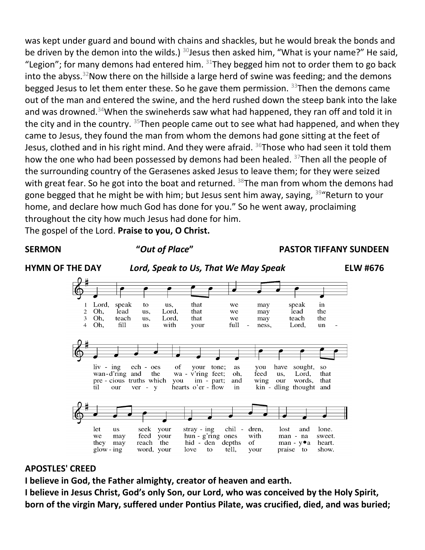was kept under guard and bound with chains and shackles, but he would break the bonds and be driven by the demon into the wilds.)  $30$  Jesus then asked him, "What is your name?" He said, "Legion"; for many demons had entered him.  $31$ They begged him not to order them to go back into the abyss.<sup>32</sup>Now there on the hillside a large herd of swine was feeding; and the demons begged Jesus to let them enter these. So he gave them permission.  $33$ Then the demons came out of the man and entered the swine, and the herd rushed down the steep bank into the lake and was drowned.<sup>34</sup>When the swineherds saw what had happened, they ran off and told it in the city and in the country.  $35$ Then people came out to see what had happened, and when they came to Jesus, they found the man from whom the demons had gone sitting at the feet of Jesus, clothed and in his right mind. And they were afraid.  $36$ Those who had seen it told them how the one who had been possessed by demons had been healed. <sup>37</sup>Then all the people of the surrounding country of the Gerasenes asked Jesus to leave them; for they were seized with great fear. So he got into the boat and returned. <sup>38</sup>The man from whom the demons had gone begged that he might be with him; but Jesus sent him away, saying, <sup>39</sup>"Return to your home, and declare how much God has done for you." So he went away, proclaiming throughout the city how much Jesus had done for him.

The gospel of the Lord. **Praise to you, O Christ.**



# **APOSTLES' CREED**

**I believe in God, the Father almighty, creator of heaven and earth.**

**I believe in Jesus Christ, God's only Son, our Lord, who was conceived by the Holy Spirit, born of the virgin Mary, suffered under Pontius Pilate, was crucified, died, and was buried;**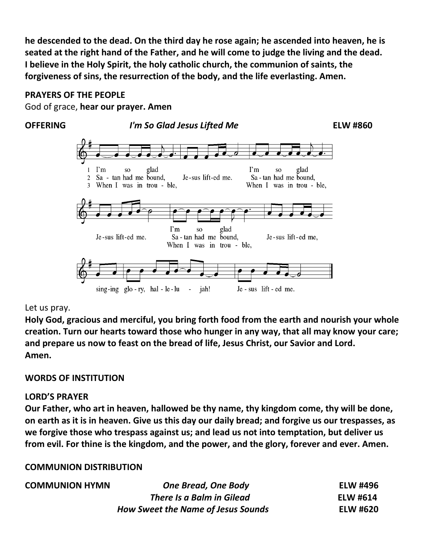**he descended to the dead. On the third day he rose again; he ascended into heaven, he is seated at the right hand of the Father, and he will come to judge the living and the dead. I believe in the Holy Spirit, the holy catholic church, the communion of saints, the forgiveness of sins, the resurrection of the body, and the life everlasting. Amen.**

## **PRAYERS OF THE PEOPLE**

God of grace, **hear our prayer. Amen**

#### **OFFERING** *I'm So Glad Jesus Lifted Me* **ELW #860**



## Let us pray.

**Holy God, gracious and merciful, you bring forth food from the earth and nourish your whole creation. Turn our hearts toward those who hunger in any way, that all may know your care; and prepare us now to feast on the bread of life, Jesus Christ, our Savior and Lord. Amen.**

# **WORDS OF INSTITUTION**

## **LORD'S PRAYER**

**Our Father, who art in heaven, hallowed be thy name, thy kingdom come, thy will be done, on earth as it is in heaven. Give us this day our daily bread; and forgive us our trespasses, as we forgive those who trespass against us; and lead us not into temptation, but deliver us from evil. For thine is the kingdom, and the power, and the glory, forever and ever. Amen.**

# **COMMUNION DISTRIBUTION**

| <b>COMMUNION HYMN</b> | <b>One Bread, One Body</b>                | <b>ELW #496</b> |
|-----------------------|-------------------------------------------|-----------------|
|                       | There Is a Balm in Gilead                 | <b>ELW #614</b> |
|                       | <b>How Sweet the Name of Jesus Sounds</b> | <b>ELW #620</b> |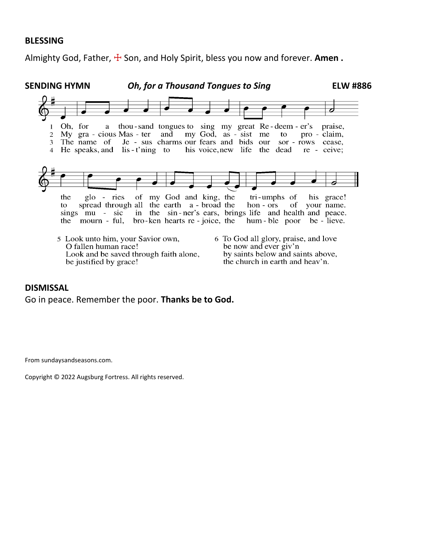#### **BLESSING**

Almighty God, Father,  $\frac{1}{2}$  Son, and Holy Spirit, bless you now and forever. Amen.



#### **DISMISSAL**

Go in peace. Remember the poor. **Thanks be to God.**

From sundaysandseasons.com.

Copyright © 2022 Augsburg Fortress. All rights reserved.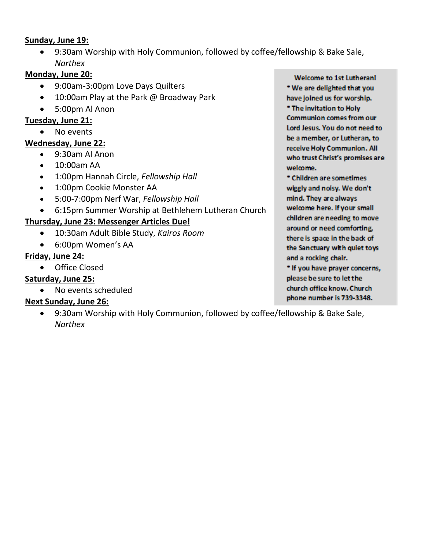## **Sunday, June 19:**

• 9:30am Worship with Holy Communion, followed by coffee/fellowship & Bake Sale, *Narthex*

# **Monday, June 20:**

- 9:00am-3:00pm Love Days Quilters
- 10:00am Play at the Park @ Broadway Park
- 5:00pm Al Anon

# **Tuesday, June 21:**

• No events

# **Wednesday, June 22:**

- 9:30am Al Anon
- 10:00am AA
- 1:00pm Hannah Circle, *Fellowship Hall*
- 1:00pm Cookie Monster AA
- 5:00-7:00pm Nerf War, *Fellowship Hall*
- 6:15pm Summer Worship at Bethlehem Lutheran Church

# **Thursday, June 23: Messenger Articles Due!**

- 10:30am Adult Bible Study, *Kairos Room*
- 6:00pm Women's AA

# **Friday, June 24:**

• Office Closed

# **Saturday, June 25:**

• No events scheduled

# **Next Sunday, June 26:**

• 9:30am Worship with Holy Communion, followed by coffee/fellowship & Bake Sale, *Narthex*

Welcome to 1st Lutherani \* We are delighted that you have joined us for worship. \* The invitation to Holy **Communion comes from our** Lord Jesus, You do not need to be a member, or Lutheran, to receive Holy Communion. All who trust Christ's promises are welcome.

\* Children are sometimes wiggly and noisy. We don't mind. They are always welcome here. If your small children are needing to move around or need comforting, there is space in the back of the Sanctuary with quiet toys and a rocking chair.

\* If you have prayer concerns, please be sure to let the church office know. Church phone number is 739-3348.